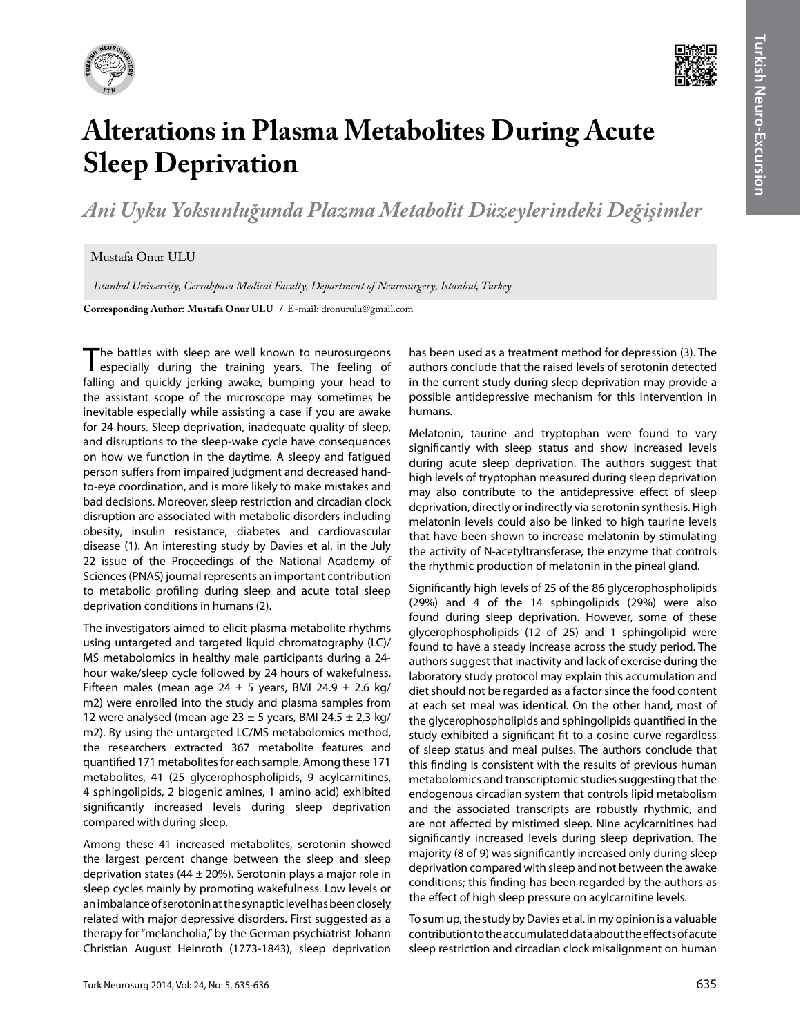



## **Alterations in Plasma Metabolites During Acute Sleep Deprivation**

*Ani Uyku Yoksunluğunda Plazma Metabolit Düzeylerindeki Değişimler*

## Mustafa Onur ULU

 *Istanbul University, Cerrahpasa Medical Faculty, Department of Neurosurgery, Istanbul, Turkey*

**Corresponding Author: Mustafa Onur Ulu /** E-mail: dronurulu@gmail.com

The battles with sleep are well known to neurosurgeons<br>especially during the training years. The feeling of falling and quickly jerking awake, bumping your head to the assistant scope of the microscope may sometimes be inevitable especially while assisting a case if you are awake for 24 hours. Sleep deprivation, inadequate quality of sleep, and disruptions to the sleep-wake cycle have consequences on how we function in the daytime. A sleepy and fatigued person suffers from impaired judgment and decreased handto-eye coordination, and is more likely to make mistakes and bad decisions. Moreover, sleep restriction and circadian clock disruption are associated with metabolic disorders including obesity, insulin resistance, diabetes and cardiovascular disease (1). An interesting study by Davies et al. in the July 22 issue of the Proceedings of the National Academy of Sciences (PNAS) journal represents an important contribution to metabolic profiling during sleep and acute total sleep deprivation conditions in humans (2).

The investigators aimed to elicit plasma metabolite rhythms using untargeted and targeted liquid chromatography (LC)/ MS metabolomics in healthy male participants during a 24 hour wake/sleep cycle followed by 24 hours of wakefulness. Fifteen males (mean age 24  $\pm$  5 years, BMI 24.9  $\pm$  2.6 kg/ m2) were enrolled into the study and plasma samples from 12 were analysed (mean age  $23 \pm 5$  years, BMI 24.5  $\pm$  2.3 kg/ m2). By using the untargeted LC/MS metabolomics method, the researchers extracted 367 metabolite features and quantified 171 metabolites for each sample. Among these 171 metabolites, 41 (25 glycerophospholipids, 9 acylcarnitines, 4 sphingolipids, 2 biogenic amines, 1 amino acid) exhibited significantly increased levels during sleep deprivation compared with during sleep.

Among these 41 increased metabolites, serotonin showed the largest percent change between the sleep and sleep deprivation states (44  $\pm$  20%). Serotonin plays a major role in sleep cycles mainly by promoting wakefulness. Low levels or an imbalance of serotonin at the synaptic level has been closely related with major depressive disorders. First suggested as a therapy for "melancholia," by the German psychiatrist Johann Christian August Heinroth (1773-1843), sleep deprivation has been used as a treatment method for depression (3). The authors conclude that the raised levels of serotonin detected in the current study during sleep deprivation may provide a possible antidepressive mechanism for this intervention in humans.

Melatonin, taurine and tryptophan were found to vary significantly with sleep status and show increased levels during acute sleep deprivation. The authors suggest that high levels of tryptophan measured during sleep deprivation may also contribute to the antidepressive effect of sleep deprivation, directly or indirectly via serotonin synthesis. High melatonin levels could also be linked to high taurine levels that have been shown to increase melatonin by stimulating the activity of N-acetyltransferase, the enzyme that controls the rhythmic production of melatonin in the pineal gland.

Significantly high levels of 25 of the 86 glycerophospholipids (29%) and 4 of the 14 sphingolipids (29%) were also found during sleep deprivation. However, some of these glycerophospholipids (12 of 25) and 1 sphingolipid were found to have a steady increase across the study period. The authors suggest that inactivity and lack of exercise during the laboratory study protocol may explain this accumulation and diet should not be regarded as a factor since the food content at each set meal was identical. On the other hand, most of the glycerophospholipids and sphingolipids quantified in the study exhibited a significant fit to a cosine curve regardless of sleep status and meal pulses. The authors conclude that this finding is consistent with the results of previous human metabolomics and transcriptomic studies suggesting that the endogenous circadian system that controls lipid metabolism and the associated transcripts are robustly rhythmic, and are not affected by mistimed sleep. Nine acylcarnitines had significantly increased levels during sleep deprivation. The majority (8 of 9) was significantly increased only during sleep deprivation compared with sleep and not between the awake conditions; this finding has been regarded by the authors as the effect of high sleep pressure on acylcarnitine levels.

To sum up, the study by Davies et al. in my opinion is a valuable contribution to the accumulated data about the effects of acute sleep restriction and circadian clock misalignment on human